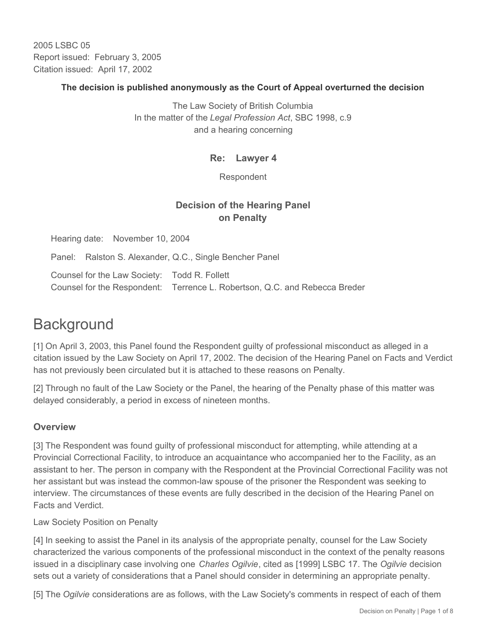2005 LSBC 05 Report issued: February 3, 2005 Citation issued: April 17, 2002

## **The decision is published anonymously as the Court of Appeal overturned the decision**

The Law Society of British Columbia In the matter of the *Legal Profession Act*, SBC 1998, c.9 and a hearing concerning

## **Re: Lawyer 4**

Respondent

## **Decision of the Hearing Panel on Penalty**

Hearing date: November 10, 2004

Panel: Ralston S. Alexander, Q.C., Single Bencher Panel

Counsel for the Law Society: Todd R. Follett Counsel for the Respondent: Terrence L. Robertson, Q.C. and Rebecca Breder

# **Background**

[1] On April 3, 2003, this Panel found the Respondent guilty of professional misconduct as alleged in a citation issued by the Law Society on April 17, 2002. The decision of the Hearing Panel on Facts and Verdict has not previously been circulated but it is attached to these reasons on Penalty.

[2] Through no fault of the Law Society or the Panel, the hearing of the Penalty phase of this matter was delayed considerably, a period in excess of nineteen months.

## **Overview**

[3] The Respondent was found guilty of professional misconduct for attempting, while attending at a Provincial Correctional Facility, to introduce an acquaintance who accompanied her to the Facility, as an assistant to her. The person in company with the Respondent at the Provincial Correctional Facility was not her assistant but was instead the common-law spouse of the prisoner the Respondent was seeking to interview. The circumstances of these events are fully described in the decision of the Hearing Panel on Facts and Verdict.

Law Society Position on Penalty

[4] In seeking to assist the Panel in its analysis of the appropriate penalty, counsel for the Law Society characterized the various components of the professional misconduct in the context of the penalty reasons issued in a disciplinary case involving one *Charles Ogilvie*, cited as [1999] LSBC 17. The *Ogilvie* decision sets out a variety of considerations that a Panel should consider in determining an appropriate penalty.

[5] The *Ogilvie* considerations are as follows, with the Law Society's comments in respect of each of them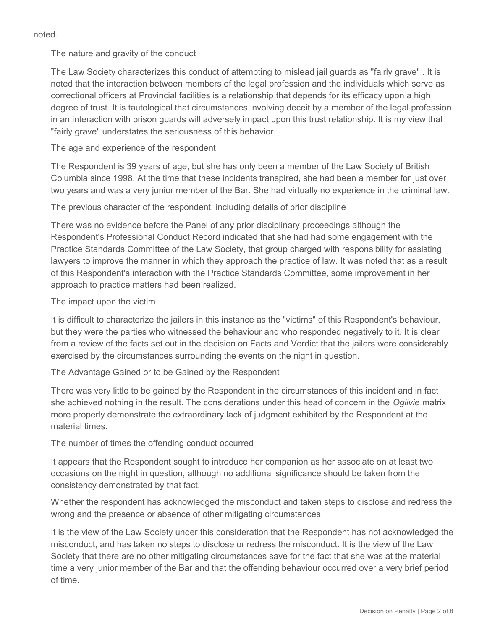noted.

The nature and gravity of the conduct

The Law Society characterizes this conduct of attempting to mislead jail guards as "fairly grave" . It is noted that the interaction between members of the legal profession and the individuals which serve as correctional officers at Provincial facilities is a relationship that depends for its efficacy upon a high degree of trust. It is tautological that circumstances involving deceit by a member of the legal profession in an interaction with prison guards will adversely impact upon this trust relationship. It is my view that "fairly grave" understates the seriousness of this behavior.

The age and experience of the respondent

The Respondent is 39 years of age, but she has only been a member of the Law Society of British Columbia since 1998. At the time that these incidents transpired, she had been a member for just over two years and was a very junior member of the Bar. She had virtually no experience in the criminal law.

The previous character of the respondent, including details of prior discipline

There was no evidence before the Panel of any prior disciplinary proceedings although the Respondent's Professional Conduct Record indicated that she had had some engagement with the Practice Standards Committee of the Law Society, that group charged with responsibility for assisting lawyers to improve the manner in which they approach the practice of law. It was noted that as a result of this Respondent's interaction with the Practice Standards Committee, some improvement in her approach to practice matters had been realized.

The impact upon the victim

It is difficult to characterize the jailers in this instance as the "victims" of this Respondent's behaviour, but they were the parties who witnessed the behaviour and who responded negatively to it. It is clear from a review of the facts set out in the decision on Facts and Verdict that the jailers were considerably exercised by the circumstances surrounding the events on the night in question.

The Advantage Gained or to be Gained by the Respondent

There was very little to be gained by the Respondent in the circumstances of this incident and in fact she achieved nothing in the result. The considerations under this head of concern in the *Ogilvie* matrix more properly demonstrate the extraordinary lack of judgment exhibited by the Respondent at the material times.

The number of times the offending conduct occurred

It appears that the Respondent sought to introduce her companion as her associate on at least two occasions on the night in question, although no additional significance should be taken from the consistency demonstrated by that fact.

Whether the respondent has acknowledged the misconduct and taken steps to disclose and redress the wrong and the presence or absence of other mitigating circumstances

It is the view of the Law Society under this consideration that the Respondent has not acknowledged the misconduct, and has taken no steps to disclose or redress the misconduct. It is the view of the Law Society that there are no other mitigating circumstances save for the fact that she was at the material time a very junior member of the Bar and that the offending behaviour occurred over a very brief period of time.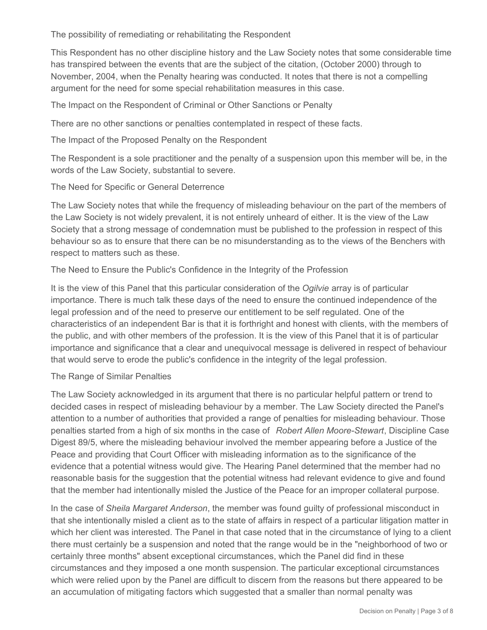The possibility of remediating or rehabilitating the Respondent

This Respondent has no other discipline history and the Law Society notes that some considerable time has transpired between the events that are the subject of the citation, (October 2000) through to November, 2004, when the Penalty hearing was conducted. It notes that there is not a compelling argument for the need for some special rehabilitation measures in this case.

The Impact on the Respondent of Criminal or Other Sanctions or Penalty

There are no other sanctions or penalties contemplated in respect of these facts.

The Impact of the Proposed Penalty on the Respondent

The Respondent is a sole practitioner and the penalty of a suspension upon this member will be, in the words of the Law Society, substantial to severe.

The Need for Specific or General Deterrence

The Law Society notes that while the frequency of misleading behaviour on the part of the members of the Law Society is not widely prevalent, it is not entirely unheard of either. It is the view of the Law Society that a strong message of condemnation must be published to the profession in respect of this behaviour so as to ensure that there can be no misunderstanding as to the views of the Benchers with respect to matters such as these.

The Need to Ensure the Public's Confidence in the Integrity of the Profession

It is the view of this Panel that this particular consideration of the *Ogilvie* array is of particular importance. There is much talk these days of the need to ensure the continued independence of the legal profession and of the need to preserve our entitlement to be self regulated. One of the characteristics of an independent Bar is that it is forthright and honest with clients, with the members of the public, and with other members of the profession. It is the view of this Panel that it is of particular importance and significance that a clear and unequivocal message is delivered in respect of behaviour that would serve to erode the public's confidence in the integrity of the legal profession.

The Range of Similar Penalties

The Law Society acknowledged in its argument that there is no particular helpful pattern or trend to decided cases in respect of misleading behaviour by a member. The Law Society directed the Panel's attention to a number of authorities that provided a range of penalties for misleading behaviour. Those penalties started from a high of six months in the case of *Robert Allen Moore-Stewart*, Discipline Case Digest 89/5, where the misleading behaviour involved the member appearing before a Justice of the Peace and providing that Court Officer with misleading information as to the significance of the evidence that a potential witness would give. The Hearing Panel determined that the member had no reasonable basis for the suggestion that the potential witness had relevant evidence to give and found that the member had intentionally misled the Justice of the Peace for an improper collateral purpose.

In the case of *Sheila Margaret Anderson*, the member was found guilty of professional misconduct in that she intentionally misled a client as to the state of affairs in respect of a particular litigation matter in which her client was interested. The Panel in that case noted that in the circumstance of lying to a client there must certainly be a suspension and noted that the range would be in the "neighborhood of two or certainly three months" absent exceptional circumstances, which the Panel did find in these circumstances and they imposed a one month suspension. The particular exceptional circumstances which were relied upon by the Panel are difficult to discern from the reasons but there appeared to be an accumulation of mitigating factors which suggested that a smaller than normal penalty was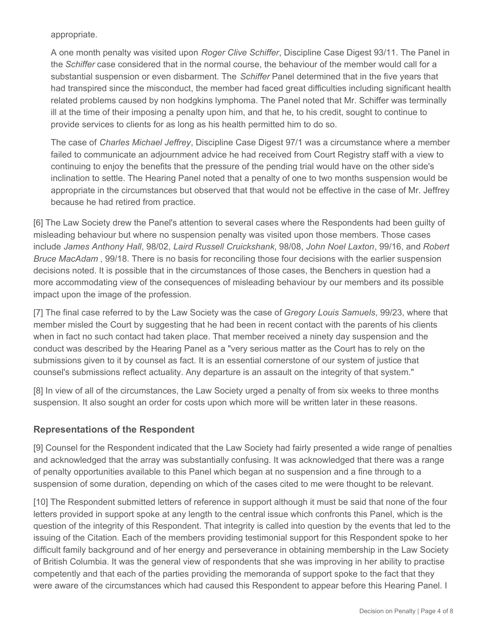appropriate.

A one month penalty was visited upon *Roger Clive Schiffer*, Discipline Case Digest 93/11. The Panel in the *Schiffer* case considered that in the normal course, the behaviour of the member would call for a substantial suspension or even disbarment. The *Schiffer* Panel determined that in the five years that had transpired since the misconduct, the member had faced great difficulties including significant health related problems caused by non hodgkins lymphoma. The Panel noted that Mr. Schiffer was terminally ill at the time of their imposing a penalty upon him, and that he, to his credit, sought to continue to provide services to clients for as long as his health permitted him to do so.

The case of *Charles Michael Jeffrey*, Discipline Case Digest 97/1 was a circumstance where a member failed to communicate an adjournment advice he had received from Court Registry staff with a view to continuing to enjoy the benefits that the pressure of the pending trial would have on the other side's inclination to settle. The Hearing Panel noted that a penalty of one to two months suspension would be appropriate in the circumstances but observed that that would not be effective in the case of Mr. Jeffrey because he had retired from practice.

[6] The Law Society drew the Panel's attention to several cases where the Respondents had been guilty of misleading behaviour but where no suspension penalty was visited upon those members. Those cases include *James Anthony Hall*, 98/02, *Laird Russell Cruickshank*, 98/08, *John Noel Laxton*, 99/16, and *Robert Bruce MacAdam* , 99/18. There is no basis for reconciling those four decisions with the earlier suspension decisions noted. It is possible that in the circumstances of those cases, the Benchers in question had a more accommodating view of the consequences of misleading behaviour by our members and its possible impact upon the image of the profession.

[7] The final case referred to by the Law Society was the case of *Gregory Louis Samuels*, 99/23, where that member misled the Court by suggesting that he had been in recent contact with the parents of his clients when in fact no such contact had taken place. That member received a ninety day suspension and the conduct was described by the Hearing Panel as a "very serious matter as the Court has to rely on the submissions given to it by counsel as fact. It is an essential cornerstone of our system of justice that counsel's submissions reflect actuality. Any departure is an assault on the integrity of that system."

[8] In view of all of the circumstances, the Law Society urged a penalty of from six weeks to three months suspension. It also sought an order for costs upon which more will be written later in these reasons.

## **Representations of the Respondent**

[9] Counsel for the Respondent indicated that the Law Society had fairly presented a wide range of penalties and acknowledged that the array was substantially confusing. It was acknowledged that there was a range of penalty opportunities available to this Panel which began at no suspension and a fine through to a suspension of some duration, depending on which of the cases cited to me were thought to be relevant.

[10] The Respondent submitted letters of reference in support although it must be said that none of the four letters provided in support spoke at any length to the central issue which confronts this Panel, which is the question of the integrity of this Respondent. That integrity is called into question by the events that led to the issuing of the Citation. Each of the members providing testimonial support for this Respondent spoke to her difficult family background and of her energy and perseverance in obtaining membership in the Law Society of British Columbia. It was the general view of respondents that she was improving in her ability to practise competently and that each of the parties providing the memoranda of support spoke to the fact that they were aware of the circumstances which had caused this Respondent to appear before this Hearing Panel. I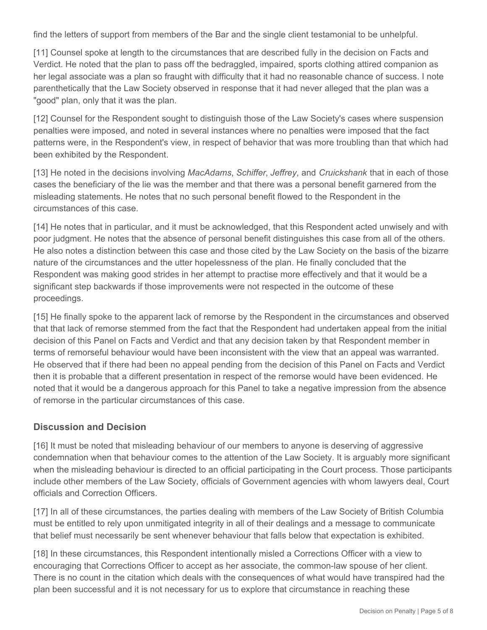find the letters of support from members of the Bar and the single client testamonial to be unhelpful.

[11] Counsel spoke at length to the circumstances that are described fully in the decision on Facts and Verdict. He noted that the plan to pass off the bedraggled, impaired, sports clothing attired companion as her legal associate was a plan so fraught with difficulty that it had no reasonable chance of success. I note parenthetically that the Law Society observed in response that it had never alleged that the plan was a "good" plan, only that it was the plan.

[12] Counsel for the Respondent sought to distinguish those of the Law Society's cases where suspension penalties were imposed, and noted in several instances where no penalties were imposed that the fact patterns were, in the Respondent's view, in respect of behavior that was more troubling than that which had been exhibited by the Respondent.

[13] He noted in the decisions involving *MacAdams*, *Schiffer*, *Jeffrey*, and *Cruickshank* that in each of those cases the beneficiary of the lie was the member and that there was a personal benefit garnered from the misleading statements. He notes that no such personal benefit flowed to the Respondent in the circumstances of this case.

[14] He notes that in particular, and it must be acknowledged, that this Respondent acted unwisely and with poor judgment. He notes that the absence of personal benefit distinguishes this case from all of the others. He also notes a distinction between this case and those cited by the Law Society on the basis of the bizarre nature of the circumstances and the utter hopelessness of the plan. He finally concluded that the Respondent was making good strides in her attempt to practise more effectively and that it would be a significant step backwards if those improvements were not respected in the outcome of these proceedings.

[15] He finally spoke to the apparent lack of remorse by the Respondent in the circumstances and observed that that lack of remorse stemmed from the fact that the Respondent had undertaken appeal from the initial decision of this Panel on Facts and Verdict and that any decision taken by that Respondent member in terms of remorseful behaviour would have been inconsistent with the view that an appeal was warranted. He observed that if there had been no appeal pending from the decision of this Panel on Facts and Verdict then it is probable that a different presentation in respect of the remorse would have been evidenced. He noted that it would be a dangerous approach for this Panel to take a negative impression from the absence of remorse in the particular circumstances of this case.

## **Discussion and Decision**

[16] It must be noted that misleading behaviour of our members to anyone is deserving of aggressive condemnation when that behaviour comes to the attention of the Law Society. It is arguably more significant when the misleading behaviour is directed to an official participating in the Court process. Those participants include other members of the Law Society, officials of Government agencies with whom lawyers deal, Court officials and Correction Officers.

[17] In all of these circumstances, the parties dealing with members of the Law Society of British Columbia must be entitled to rely upon unmitigated integrity in all of their dealings and a message to communicate that belief must necessarily be sent whenever behaviour that falls below that expectation is exhibited.

[18] In these circumstances, this Respondent intentionally misled a Corrections Officer with a view to encouraging that Corrections Officer to accept as her associate, the common-law spouse of her client. There is no count in the citation which deals with the consequences of what would have transpired had the plan been successful and it is not necessary for us to explore that circumstance in reaching these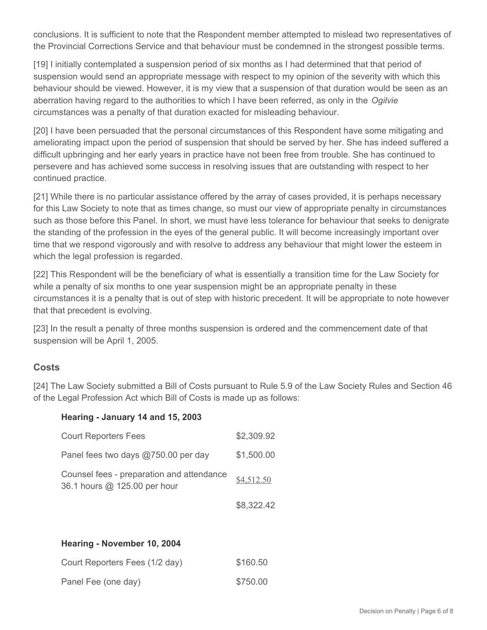conclusions. It is sufficient to note that the Respondent member attempted to mislead two representatives of the Provincial Corrections Service and that behaviour must be condemned in the strongest possible terms.

[19] I initially contemplated a suspension period of six months as I had determined that that period of suspension would send an appropriate message with respect to my opinion of the severity with which this behaviour should be viewed. However, it is my view that a suspension of that duration would be seen as an aberration having regard to the authorities to which I have been referred, as only in the *Ogilvie* circumstances was a penalty of that duration exacted for misleading behaviour.

[20] I have been persuaded that the personal circumstances of this Respondent have some mitigating and ameliorating impact upon the period of suspension that should be served by her. She has indeed suffered a difficult upbringing and her early years in practice have not been free from trouble. She has continued to persevere and has achieved some success in resolving issues that are outstanding with respect to her continued practice.

[21] While there is no particular assistance offered by the array of cases provided, it is perhaps necessary for this Law Society to note that as times change, so must our view of appropriate penalty in circumstances such as those before this Panel. In short, we must have less tolerance for behaviour that seeks to denigrate the standing of the profession in the eyes of the general public. It will become increasingly important over time that we respond vigorously and with resolve to address any behaviour that might lower the esteem in which the legal profession is regarded.

[22] This Respondent will be the beneficiary of what is essentially a transition time for the Law Society for while a penalty of six months to one year suspension might be an appropriate penalty in these circumstances it is a penalty that is out of step with historic precedent. It will be appropriate to note however that that precedent is evolving.

[23] In the result a penalty of three months suspension is ordered and the commencement date of that suspension will be April 1, 2005.

## **Costs**

[24] The Law Society submitted a Bill of Costs pursuant to Rule 5.9 of the Law Society Rules and Section 46 of the Legal Profession Act which Bill of Costs is made up as follows:

#### **Hearing - January 14 and 15, 2003**

| <b>Court Reporters Fees</b>                                               | \$2,309.92 |
|---------------------------------------------------------------------------|------------|
| Panel fees two days @750.00 per day                                       | \$1,500.00 |
| Counsel fees - preparation and attendance<br>36.1 hours @ 125.00 per hour | \$4,512.50 |
|                                                                           | \$8.322.42 |

#### **Hearing - November 10, 2004**

| Court Reporters Fees (1/2 day) | \$160.50 |
|--------------------------------|----------|
| Panel Fee (one day)            | \$750.00 |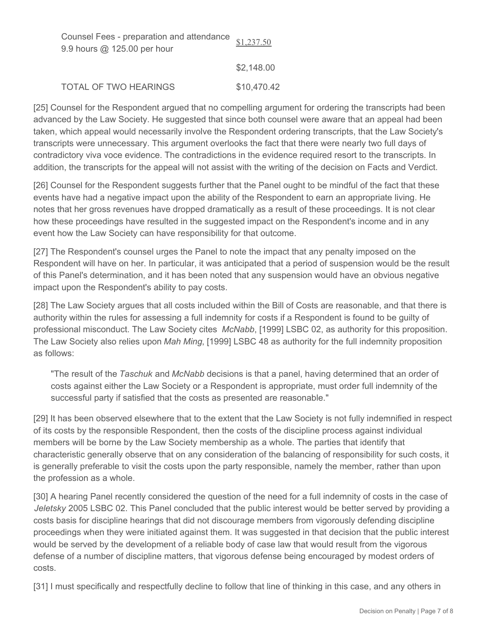| Counsel Fees - preparation and attendance $s1.237.50$<br>9.9 hours $@$ 125.00 per hour |             |
|----------------------------------------------------------------------------------------|-------------|
|                                                                                        | \$2,148.00  |
| <b>TOTAL OF TWO HEARINGS</b>                                                           | \$10,470.42 |

[25] Counsel for the Respondent argued that no compelling argument for ordering the transcripts had been advanced by the Law Society. He suggested that since both counsel were aware that an appeal had been taken, which appeal would necessarily involve the Respondent ordering transcripts, that the Law Society's transcripts were unnecessary. This argument overlooks the fact that there were nearly two full days of contradictory viva voce evidence. The contradictions in the evidence required resort to the transcripts. In addition, the transcripts for the appeal will not assist with the writing of the decision on Facts and Verdict.

[26] Counsel for the Respondent suggests further that the Panel ought to be mindful of the fact that these events have had a negative impact upon the ability of the Respondent to earn an appropriate living. He notes that her gross revenues have dropped dramatically as a result of these proceedings. It is not clear how these proceedings have resulted in the suggested impact on the Respondent's income and in any event how the Law Society can have responsibility for that outcome.

[27] The Respondent's counsel urges the Panel to note the impact that any penalty imposed on the Respondent will have on her. In particular, it was anticipated that a period of suspension would be the result of this Panel's determination, and it has been noted that any suspension would have an obvious negative impact upon the Respondent's ability to pay costs.

[28] The Law Society argues that all costs included within the Bill of Costs are reasonable, and that there is authority within the rules for assessing a full indemnity for costs if a Respondent is found to be guilty of professional misconduct. The Law Society cites *McNabb*, [1999] LSBC 02, as authority for this proposition. The Law Society also relies upon *Mah Ming*, [1999] LSBC 48 as authority for the full indemnity proposition as follows:

"The result of the *Taschuk* and *McNabb* decisions is that a panel, having determined that an order of costs against either the Law Society or a Respondent is appropriate, must order full indemnity of the successful party if satisfied that the costs as presented are reasonable."

[29] It has been observed elsewhere that to the extent that the Law Society is not fully indemnified in respect of its costs by the responsible Respondent, then the costs of the discipline process against individual members will be borne by the Law Society membership as a whole. The parties that identify that characteristic generally observe that on any consideration of the balancing of responsibility for such costs, it is generally preferable to visit the costs upon the party responsible, namely the member, rather than upon the profession as a whole.

[30] A hearing Panel recently considered the question of the need for a full indemnity of costs in the case of *Jeletsky* 2005 LSBC 02. This Panel concluded that the public interest would be better served by providing a costs basis for discipline hearings that did not discourage members from vigorously defending discipline proceedings when they were initiated against them. It was suggested in that decision that the public interest would be served by the development of a reliable body of case law that would result from the vigorous defense of a number of discipline matters, that vigorous defense being encouraged by modest orders of costs.

[31] I must specifically and respectfully decline to follow that line of thinking in this case, and any others in